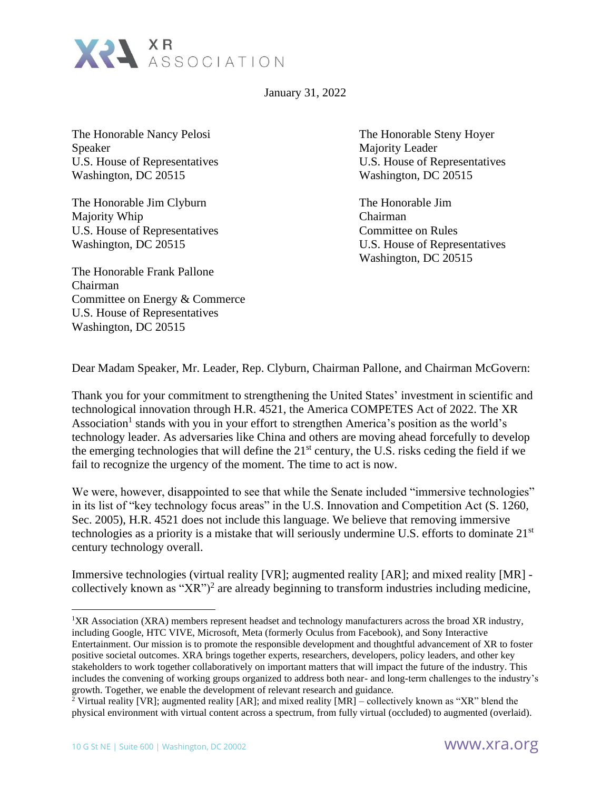

January 31, 2022

The Honorable Nancy Pelosi The Honorable Steny Hoyer Speaker Majority Leader Washington, DC 20515 Washington, DC 20515

The Honorable Jim Clyburn The Honorable Jim Majority Whip Chairman U.S. House of Representatives Committee on Rules

The Honorable Frank Pallone Chairman Committee on Energy & Commerce U.S. House of Representatives Washington, DC 20515

U.S. House of Representatives U.S. House of Representatives

Washington, DC 20515 U.S. House of Representatives Washington, DC 20515

Dear Madam Speaker, Mr. Leader, Rep. Clyburn, Chairman Pallone, and Chairman McGovern:

Thank you for your commitment to strengthening the United States' investment in scientific and technological innovation through H.R. 4521, the America COMPETES Act of 2022. The XR Association<sup>1</sup> stands with you in your effort to strengthen America's position as the world's technology leader. As adversaries like China and others are moving ahead forcefully to develop the emerging technologies that will define the  $21<sup>st</sup>$  century, the U.S. risks ceding the field if we fail to recognize the urgency of the moment. The time to act is now.

We were, however, disappointed to see that while the Senate included "immersive technologies" in its list of "key technology focus areas" in the U.S. Innovation and Competition Act (S. 1260, Sec. 2005), H.R. 4521 does not include this language. We believe that removing immersive technologies as a priority is a mistake that will seriously undermine U.S. efforts to dominate 21st century technology overall.

Immersive technologies (virtual reality [VR]; augmented reality [AR]; and mixed reality [MR] collectively known as " $XR$ ")<sup>2</sup> are already beginning to transform industries including medicine,

<sup>1</sup>XR Association (XRA) members represent headset and technology manufacturers across the broad XR industry, including Google, HTC VIVE, Microsoft, Meta (formerly Oculus from Facebook), and Sony Interactive Entertainment. Our mission is to promote the responsible development and thoughtful advancement of XR to foster positive societal outcomes. XRA brings together experts, researchers, developers, policy leaders, and other key stakeholders to work together collaboratively on important matters that will impact the future of the industry. This includes the convening of working groups organized to address both near- and long-term challenges to the industry's growth. Together, we enable the development of relevant research and guidance.

<sup>&</sup>lt;sup>2</sup> Virtual reality [VR]; augmented reality [AR]; and mixed reality [MR] – collectively known as "XR" blend the physical environment with virtual content across a spectrum, from fully virtual (occluded) to augmented (overlaid).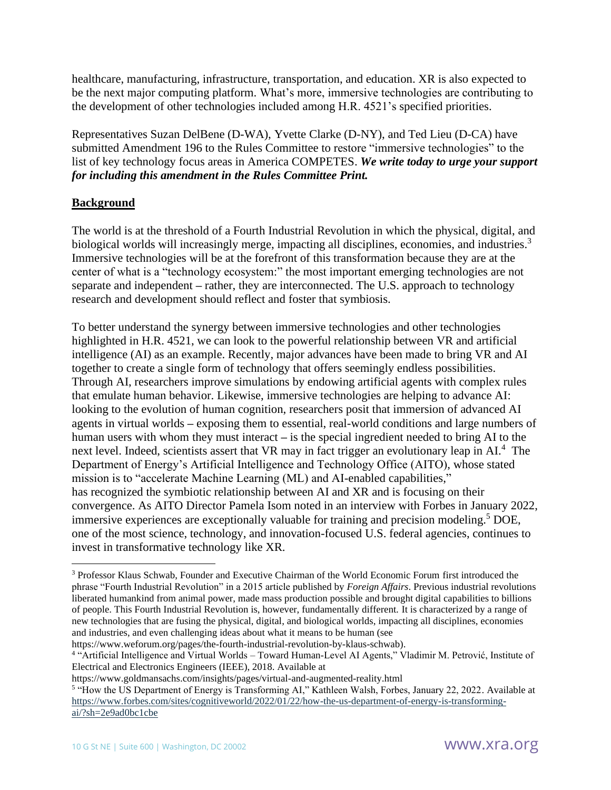healthcare, manufacturing, infrastructure, transportation, and education. XR is also expected to be the next major computing platform. What's more, immersive technologies are contributing to the development of other technologies included among H.R. 4521's specified priorities.

Representatives Suzan DelBene (D-WA), Yvette Clarke (D-NY), and Ted Lieu (D-CA) have submitted Amendment 196 to the Rules Committee to restore "immersive technologies" to the list of key technology focus areas in America COMPETES. *We write today to urge your support for including this amendment in the Rules Committee Print.*

## **Background**

The world is at the threshold of a Fourth Industrial Revolution in which the physical, digital, and biological worlds will increasingly merge, impacting all disciplines, economies, and industries.<sup>3</sup> Immersive technologies will be at the forefront of this transformation because they are at the center of what is a "technology ecosystem:" the most important emerging technologies are not separate and independent *–* rather, they are interconnected. The U.S. approach to technology research and development should reflect and foster that symbiosis.

To better understand the synergy between immersive technologies and other technologies highlighted in H.R. 4521, we can look to the powerful relationship between VR and artificial intelligence (AI) as an example. Recently, major advances have been made to bring VR and AI together to create a single form of technology that offers seemingly endless possibilities. Through AI, researchers improve simulations by endowing artificial agents with complex rules that emulate human behavior. Likewise, immersive technologies are helping to advance AI: looking to the evolution of human cognition, researchers posit that immersion of advanced AI agents in virtual worlds *–* exposing them to essential, real-world conditions and large numbers of human users with whom they must interact *–* is the special ingredient needed to bring AI to the next level. Indeed, scientists assert that VR may in fact trigger an evolutionary leap in AI.<sup>4</sup> The Department of Energy's Artificial Intelligence and Technology Office (AITO), whose stated mission is to "accelerate Machine Learning (ML) and AI-enabled capabilities," has recognized the symbiotic relationship between AI and XR and is focusing on their convergence. As AITO Director Pamela Isom noted in an interview with Forbes in January 2022, immersive experiences are exceptionally valuable for training and precision modeling. <sup>5</sup> DOE, one of the most science, technology, and innovation-focused U.S. federal agencies, continues to invest in transformative technology like XR.

https://www.weforum.org/pages/the-fourth-industrial-revolution-by-klaus-schwab).

https://www.goldmansachs.com/insights/pages/virtual-and-augmented-reality.html

<sup>&</sup>lt;sup>3</sup> Professor Klaus Schwab, Founder and Executive Chairman of the World Economic Forum first introduced the phrase "Fourth Industrial Revolution" in a 2015 article published by *Foreign Affairs*. Previous industrial revolutions liberated humankind from animal power, made mass production possible and brought digital capabilities to billions of people. This Fourth Industrial Revolution is, however, fundamentally different. It is characterized by a range of new technologies that are fusing the physical, digital, and biological worlds, impacting all disciplines, economies and industries, and even challenging ideas about what it means to be human (see

<sup>4</sup> "Artificial Intelligence and Virtual Worlds – Toward Human-Level AI Agents," Vladimir M. Petrović, Institute of Electrical and Electronics Engineers (IEEE), 2018. Available at

<sup>&</sup>lt;sup>5</sup> "How the US Department of Energy is Transforming AI," Kathleen Walsh, Forbes, January 22, 2022. Available at [https://www.forbes.com/sites/cognitiveworld/2022/01/22/how-the-us-department-of-energy-is-transforming](https://www.forbes.com/sites/cognitiveworld/2022/01/22/how-the-us-department-of-energy-is-transforming-ai/?sh=2e9ad0bc1cbe)[ai/?sh=2e9ad0bc1cbe](https://www.forbes.com/sites/cognitiveworld/2022/01/22/how-the-us-department-of-energy-is-transforming-ai/?sh=2e9ad0bc1cbe)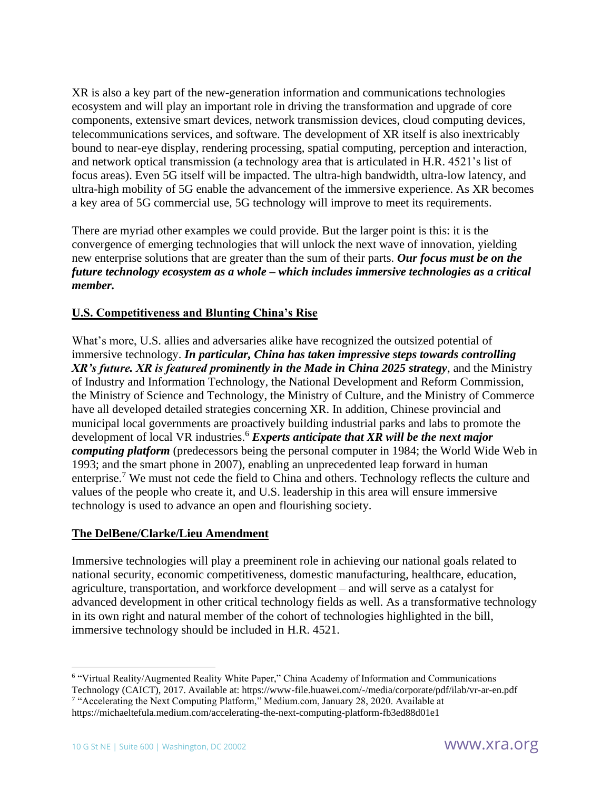XR is also a key part of the new-generation information and communications technologies ecosystem and will play an important role in driving the transformation and upgrade of core components, extensive smart devices, network transmission devices, cloud computing devices, telecommunications services, and software. The development of XR itself is also inextricably bound to near-eye display, rendering processing, spatial computing, perception and interaction, and network optical transmission (a technology area that is articulated in H.R. 4521's list of focus areas). Even 5G itself will be impacted. The ultra-high bandwidth, ultra-low latency, and ultra-high mobility of 5G enable the advancement of the immersive experience. As XR becomes a key area of 5G commercial use, 5G technology will improve to meet its requirements.

There are myriad other examples we could provide. But the larger point is this: it is the convergence of emerging technologies that will unlock the next wave of innovation, yielding new enterprise solutions that are greater than the sum of their parts. *Our focus must be on the future technology ecosystem as a whole – which includes immersive technologies as a critical member.* 

## **U.S. Competitiveness and Blunting China's Rise**

What's more, U.S. allies and adversaries alike have recognized the outsized potential of immersive technology. *In particular, China has taken impressive steps towards controlling XR's future. XR is featured prominently in the Made in China 2025 strategy*, and the Ministry of Industry and Information Technology, the National Development and Reform Commission, the Ministry of Science and Technology, the Ministry of Culture, and the Ministry of Commerce have all developed detailed strategies concerning XR. In addition, Chinese provincial and municipal local governments are proactively building industrial parks and labs to promote the development of local VR industries.<sup>6</sup> *Experts anticipate that XR will be the next major computing platform* (predecessors being the personal computer in 1984; the World Wide Web in 1993; and the smart phone in 2007), enabling an unprecedented leap forward in human enterprise.<sup>7</sup> We must not cede the field to China and others. Technology reflects the culture and values of the people who create it, and U.S. leadership in this area will ensure immersive technology is used to advance an open and flourishing society.

## **The DelBene/Clarke/Lieu Amendment**

Immersive technologies will play a preeminent role in achieving our national goals related to national security, economic competitiveness, domestic manufacturing, healthcare, education, agriculture, transportation, and workforce development – and will serve as a catalyst for advanced development in other critical technology fields as well. As a transformative technology in its own right and natural member of the cohort of technologies highlighted in the bill, immersive technology should be included in H.R. 4521.

<sup>6</sup> "Virtual Reality/Augmented Reality White Paper," China Academy of Information and Communications

Technology (CAICT), 2017. Available at: https://www-file.huawei.com/-/media/corporate/pdf/ilab/vr-ar-en.pdf <sup>7</sup> "Accelerating the Next Computing Platform," Medium.com, January 28, 2020. Available at

https://michaeltefula.medium.com/accelerating-the-next-computing-platform-fb3ed88d01e1